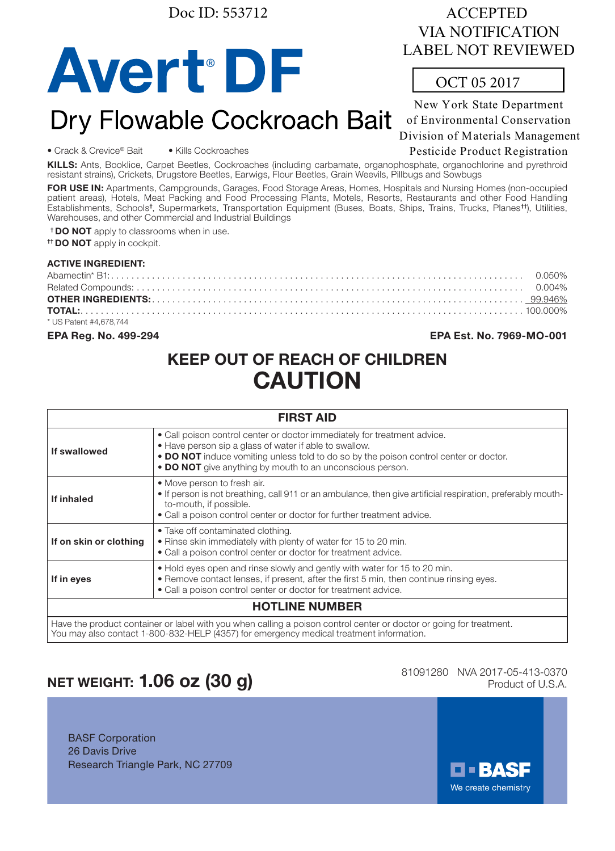Doc ID: 553712

# **Avert DF**

# ACCEPTED VIA NOTIFICATION LABEL NOT REVIEWED

# OCT 05 2017

New York State Department of Environmental Conservation Dry Flowable Cockroach Bait of Environmental Conservation

Pesticide Product Registration

• Crack & Crevice® Bait • Kills Cockroaches

KILLS: Ants, Booklice, Carpet Beetles, Cockroaches (including carbamate, organophosphate, organochlorine and pyrethroid resistant strains), Crickets, Drugstore Beetles, Earwigs, Flour Beetles, Grain Weevils, Pillbugs and Sowbugs

FOR USE IN: Apartments, Campgrounds, Garages, Food Storage Areas, Homes, Hospitals and Nursing Homes (non-occupied patient areas), Hotels, Meat Packing and Food Processing Plants, Motels, Resorts, Restaurants and other Food Handling Establishments, Schools<sup>t</sup>, Supermarkets, Transportation Equipment (Buses, Boats, Ships, Trains, Trucks, Planes<sup>tt</sup>), Utilities, Warehouses, and other Commercial and Industrial Buildings

<sup>†</sup> DO NOT apply to classrooms when in use.

<sup>††</sup> DO NOT apply in cockpit.

### ACTIVE INGREDIENT:

| * US Patent #4.678.744 |  |
|------------------------|--|

EPA Reg. No. 499-294 EPA Est. No. 7969-MO-001

# KEEP OUT OF REACH OF CHILDREN CAUTION

| <b>FIRST AID</b>       |                                                                                                                                                                                                                                                                                          |  |
|------------------------|------------------------------------------------------------------------------------------------------------------------------------------------------------------------------------------------------------------------------------------------------------------------------------------|--|
| If swallowed           | • Call poison control center or doctor immediately for treatment advice.<br>• Have person sip a glass of water if able to swallow.<br>• DO NOT induce vomiting unless told to do so by the poison control center or doctor.<br>• DO NOT give anything by mouth to an unconscious person. |  |
| If inhaled             | • Move person to fresh air.<br>• If person is not breathing, call 911 or an ambulance, then give artificial respiration, preferably mouth-<br>to-mouth, if possible.<br>• Call a poison control center or doctor for further treatment advice.                                           |  |
| If on skin or clothing | • Take off contaminated clothing.<br>. Rinse skin immediately with plenty of water for 15 to 20 min.<br>• Call a poison control center or doctor for treatment advice.                                                                                                                   |  |
| If in eyes             | . Hold eyes open and rinse slowly and gently with water for 15 to 20 min.<br>• Remove contact lenses, if present, after the first 5 min, then continue rinsing eyes.<br>• Call a poison control center or doctor for treatment advice.                                                   |  |
| <b>HOTLINE NUMBER</b>  |                                                                                                                                                                                                                                                                                          |  |
|                        | Have the product container or label with you when calling a poison control center or doctor or going for treatment                                                                                                                                                                       |  |

Have the product container or label with you when calling a poison control center or doctor or going for treatment. You may also contact 1-800-832-HELP (4357) for emergency medical treatment information.

# NET WEIGHT:  $1.06$  oz  $(30 g)$

81091280 NVA 2017-05-413-0370

BASF Corporation 26 Davis Drive Research Triangle Park, NC 27709